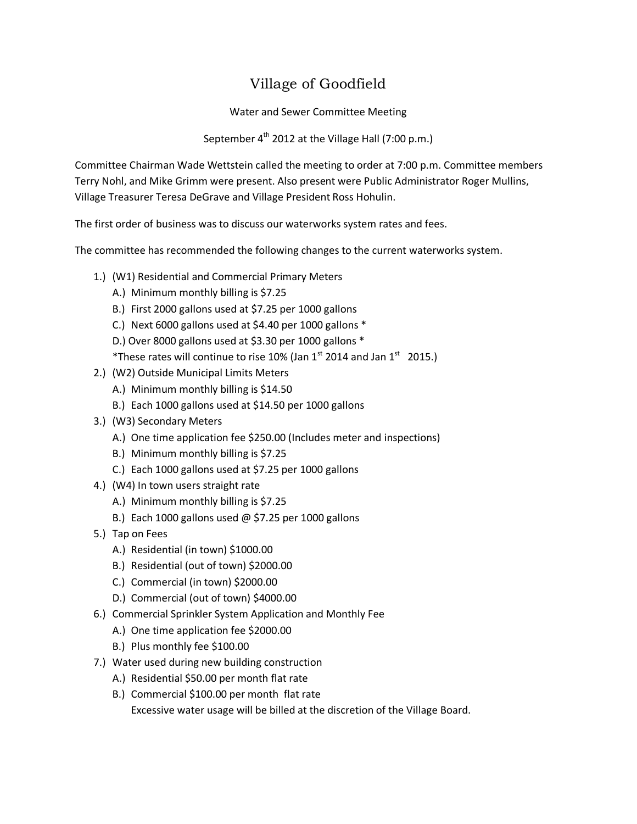## Village of Goodfield

Water and Sewer Committee Meeting

September 4<sup>th</sup> 2012 at the Village Hall (7:00 p.m.)

Committee Chairman Wade Wettstein called the meeting to order at 7:00 p.m. Committee members Terry Nohl, and Mike Grimm were present. Also present were Public Administrator Roger Mullins, Village Treasurer Teresa DeGrave and Village President Ross Hohulin.

The first order of business was to discuss our waterworks system rates and fees.

The committee has recommended the following changes to the current waterworks system.

- 1.) (W1) Residential and Commercial Primary Meters
	- A.) Minimum monthly billing is \$7.25
	- B.) First 2000 gallons used at \$7.25 per 1000 gallons
	- C.) Next 6000 gallons used at \$4.40 per 1000 gallons \*
	- D.) Over 8000 gallons used at \$3.30 per 1000 gallons \*
	- \*These rates will continue to rise 10% (Jan  $1^{st}$  2014 and Jan  $1^{st}$  2015.)
- 2.) (W2) Outside Municipal Limits Meters
	- A.) Minimum monthly billing is \$14.50
	- B.) Each 1000 gallons used at \$14.50 per 1000 gallons
- 3.) (W3) Secondary Meters
	- A.) One time application fee \$250.00 (Includes meter and inspections)
	- B.) Minimum monthly billing is \$7.25
	- C.) Each 1000 gallons used at \$7.25 per 1000 gallons
- 4.) (W4) In town users straight rate
	- A.) Minimum monthly billing is \$7.25
	- B.) Each 1000 gallons used  $@$  \$7.25 per 1000 gallons
- 5.) Tap on Fees
	- A.) Residential (in town) \$1000.00
	- B.) Residential (out of town) \$2000.00
	- C.) Commercial (in town) \$2000.00
	- D.) Commercial (out of town) \$4000.00
- 6.) Commercial Sprinkler System Application and Monthly Fee
	- A.) One time application fee \$2000.00
	- B.) Plus monthly fee \$100.00
- 7.) Water used during new building construction
	- A.) Residential \$50.00 per month flat rate
	- B.) Commercial \$100.00 per month flat rate Excessive water usage will be billed at the discretion of the Village Board.